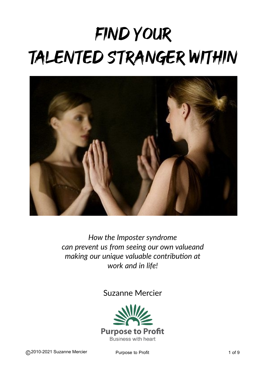# FIND YOUR TALENTED STRANGER WITHIN



*How the Imposter syndrome can prevent us from seeing our own valueand making our unique valuable contribution at work and in life!*

Suzanne Mercier



@2010-2021 Suzanne Mercier Purpose to Profit **Profit** 1 of 9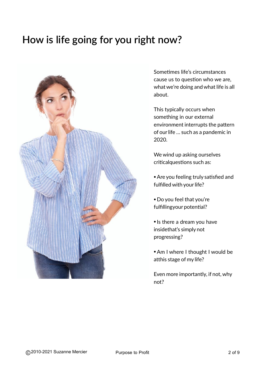# **How is life going for you right How is life going for you right now?**



Sometimes life's circumstances cause us to question who we are, what we're doing and what life is all about.

This typically occurs when something in our external environment interrupts the pattern of ourlife … such as a pandemic in 2020.

We wind up asking ourselves criticalquestions such as:

- Are you feeling truly satisfied and fulfilled with your life?
- Do you feel that you're fulfillingyour potential?
- Is there a dream you have insidethat's simply not progressing?
- Am I where I thought I would be atthis stage of my life?

Even more importantly, if not,why not?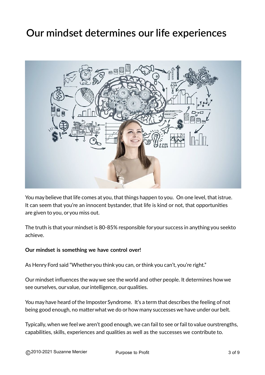### **Our mindset determines our life Our mindset determines our life experiences**



You may believe that life comes at you, that things happen to you. On one level, that istrue. It can seem that you're an innocent bystander, that life is kind or not, that opportunities are given to you, oryou miss out.

The truth is that your mindset is 80-85% responsible foryour success in anything you seekto achieve.

#### **Our mindset is something we have control over!**

As Henry Ford said "Whether you think you can, or think you can't, you're right."

Our mindset influences the waywe see the world and other people. It determines howwe see ourselves, our value, our intelligence, our qualities.

You may have heard of the Imposter Syndrome. It's a term that describes the feeling of not being good enough, no matter what we do or how many successes we have under our belt.

Typically,when we feel we aren't good enough, we can fail to see orfail to value ourstrengths, capabilities, skills, experiences and qualities as well as the successes we contribute to.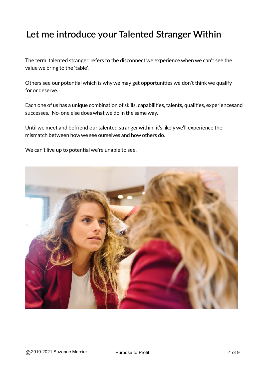#### **Let me introduce Your Talented Stranger Let me introduce your Talented Stranger Within**

The term 'talented stranger' refers to the disconnect we experience when we can't see the value we bring to the 'table'.

Others see our potential which is whywe may get opportunities we don't think we qualify for or deserve.

Each one of us has a unique combination of skills, capabilities, talents, qualities, experiencesand successes. No-one else does what we do in the same way.

Until we meet and befriend our talented stranger within, it's likely we'll experience the mismatch between howwe see ourselves and how others do.

We can't live up to potential we're unable to see.

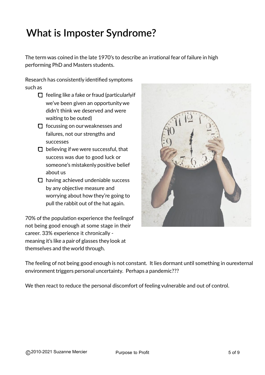# **What is the Imposter What is Imposter Syndrome?**

The term was coined in the late 1970's to describe an irrational fear of failure in high performing PhD and Masters students.

Research has consistently identified symptoms such as

- $\Box$  feeling like a fake or fraud (particularlyif we've been given an opportunitywe didn't think we deserved and were waiting to be outed)
- $\Box$  focussing on our weaknesses and failures, not our strengths and successes
- $\Box$  believing if we were successful, that success was due to good luck or someone's mistakenly positive belief about us
- $\Box$  having achieved undeniable success by any objective measure and worrying about how they're going to pull the rabbit out of the hat again.

70% of the population experience the feeling of not being good enough at some stage in their career. 33% experience it chronically meaning it's like a pair of glasses they look at themselves and theworld through.



The feeling of not being good enough is not constant. It lies dormant until something in ourexternal environment triggers personal uncertainty. Perhaps a pandemic???

We then react to reduce the personal discomfort of feeling vulnerable and out of control.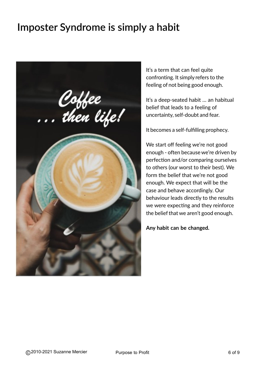# **Imposter Syndrome is simply a Imposter Syndrome is simply a habit**



It's a term that can feel quite confronting. It simply refers to the feeling of not being good enough.

It's a deep-seated habit … an habitual belief that leads to a feeling of uncertainty, self-doubt and fear.

It becomes a self-fulfilling prophecy.

We start off feeling we're not good enough - often because we're driven by perfection and/or comparing ourselves to others (our worst to their best). We form the belief that we're not good enough. We expect that will be the case and behave accordingly. Our behaviour leads directly to the results we were expecting and they reinforce the belief that we aren't good enough.

**Any habit can be changed.**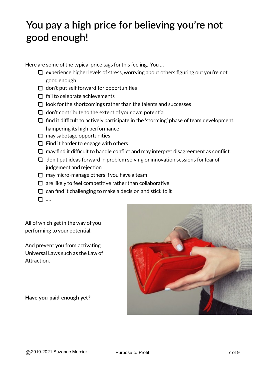#### **You pay a high price for believing you're enough good enough!You pay a high price for believing you're not**

Here are some of the typical price tags for this feeling. You ...

- $\Box$  experience higher levels of stress, worrying about others figuring out you're not good enough
- $\Box$  don't put self forward for opportunities
- $\Box$  fail to celebrate achievements
- $\Box$  look for the shortcomings rather than the talents and successes
- $\Box$  don't contribute to the extent of your own potential
- $\Box$  find it difficult to actively participate in the 'storming' phase of team development, hampering its high performance
- $\Box$  may sabotage opportunities
- $\Box$  Find it harder to engage with others
- $\Box$  may find it difficult to handle conflict and may interpret disagreement as conflict.
- $\Box$  don't put ideas forward in problem solving or innovation sessions for fear of judgement and rejection
- $\Box$  may micro-manage others if you have a team
- $\Box$  are likely to feel competitive rather than collaborative
- $\Box$  can find it challenging to make a decision and stick to it
- 口 …

All ofwhich get in the way of you performing to your potential.

And prevent you from activating Universal Laws such as the Law of Attraction.

**Have you paid enough yet?**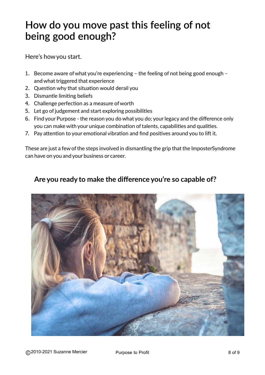#### **How do you move past this feeling of not enough? being good enough?How do you move past this feeling of not**

Here's howyou start.

- 1. Become aware ofwhat you're experiencing the feeling of not being good enough andwhat triggered that experience
- 2. Question why that situation would derail you
- 3. Dismantle limiting beliefs
- 4. Challenge perfection as a measure ofworth
- 5. Let go of judgement and start exploring possibilities
- 6. Find your Purpose the reason you do what you do; yourlegacy and the difference only you can make with your unique combination of talents, capabilities and qualities.
- 7. Pay attention to your emotional vibration and find positives around you to lift it.

These are just a few of the steps involved in dismantling the grip that the ImposterSyndrome can have on you and your business or career.

#### **Are you ready to make the difference you're so capable of?**